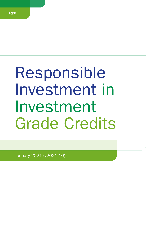# Responsible Investment in Investment Grade Credits

January 2021 (v2021.10)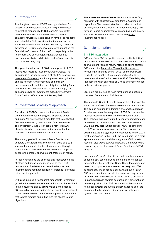# 1. Introduction

As a long-term investor, PGGM Vermogensbeheer B.V. (PGGM Investments, hereinafter PGGM) is committed to investing responsibly. PGGM manages its clients' Investment Grade Credits investments in order to contribute towards a stable pension for their participants while also taking into consideration its impact on the world. PGGM recognizes that environmental, social, and governance (ESG) factors have a material impact on the financial performance of the portfolio, especially in the longer term. As such, integrating ESG issues into investment analysis and decision making processes is part of its fiduciary duty.

This guideline addresses PGGM's management of ESG issues with regard to Investment Grade Credits. The guideline is a further refinement of [PGGM's Responsible](https://www.pggm.nl/media/f4zoxray/responsible-investment-implementation-framework_pggm.pdf) [Investment Framework](https://www.pggm.nl/media/f4zoxray/responsible-investment-implementation-framework_pggm.pdf) and its implementation guidelines and the relevant fund prospectus and ancillary documentation. In addition, the obligations arising from compliance with legislation and regulations apply. The guidelines cover all investments made by Investment Grade Credits, effective as of 1 January 2021.

# 2. Investment strategy & approach

On behalf of PGGM's clients, the Investment Grade Credits team invests in high grade corporate bonds and manages an investment mandate that is evaluated first and foremost by benchmarked financial returns. The Investment Grade Credit team's high-level ESG objective is to be a best-practice investor within the confines of a benchmarked financial mandate.

The primary goal of Investment Grade Credits is to generate a net return that over a credit cycle of 3 to 5 years at least equals the benchmark return, through constructing a portfolio of Euro-denominated corporate bonds with primarily an investment grade credit rating.

Portfolio companies are analysed and monitored on their strategic and financial merits as well as their ESG performance. The latter is expected to help reduce investment and reputational risks or increase (expected) returns of the portfolio.

By having in place a transparent responsible investment guideline for Investment Grade Credits, as further outlined in this document, and by actively taking into account ESG-related performance in investment decisions, Investment Grade Credits believes that it offers a positive contribution that is best practice and in line with the clients' stated objectives.

The **Investment Grade Credits** team aims is to be fully compliant with obligations arising from legislation and regulations. The relevant standards, codes of conduct or (inter)national initiatives or legislation that apply and have an impact on implementation are discussed below. For more detailed information please see [PGGM](https://www.pggm.nl/en/our-services/transparency-reports-and-policy-documents/) [Investments website](https://www.pggm.nl/en/our-services/transparency-reports-and-policy-documents/).

# 3. Implementation

## 3.a ESG-integration

PGGM defines ESG integration as systematically taking into account those ESG factors that have a material effect on investment risk and return. Across its entire portfolio PGGM uses the [Materiality Map of the Sustainable](https://www.sasb.org/standards/materiality-map/)  [Accounting Standards Board](https://www.sasb.org/standards/materiality-map/) (SASB) as the framework to identify material ESG issues per sector. Similarly, Investment Grade Credits takes the SASB Materiality Map into account when analysing ESG risks and opportunities in the investment process.

ESG risks are defined as risks for the financial returns that stem from material ESG factors.

The team's ESG objective is to be a best-practice investor within the confines of a benchmarked financial mandate. This goal is pursued by adopting a systematic approach for what concerns the integration of ESG factors into the internal research framework of the investment team. This includes third party output to improve knowledge and understanding of ESG issues. The team uses external ESG data providers (Sustainalytics, MSCI) to determine the ESG performance of companies. The coverage by external ESG rating agencies corresponds to nearly 100% for the companies in the Fund. The introduction of a more systematic approach and the integration of third-party research also works towards improving transparency and consistency of the Investment Grade Credit team's ESG analysis.

Investment Grade Credits will rate individual companies based on ESG scores. Due to the emphasis on capital preservation, the Investment Grade Credit team does not invest in companies which have excessively poor ESG performance. These are companies that have a lower ESG score than their peers in the same industry or on a portfolio level. The Investment Grade Credit team has an unbiased approach towards sectors, and it differentiates between good and bad ESG performers within a sector. As a beta investor the fund is equally exposed to all the sectors in the benchmark: financials, cyclicals, noncyclicals, TMT and utilities.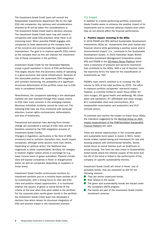The Investment Grade Credit team will consult the Responsible Investments department (RI) for the high ESG risk companies. Any opinions and considerations provided by RI will be taken into considerations in The Investment Grade Credit team's decision process. The Investment Grade Credit team may still invest in companies with weak ESG practices when there is an improving trend. When possible PGGM engages with companies to raise awareness at the company level of the concerns and communicate the expectations of improvement. The goal is to improve specific ESG criteria at the company level as this will improve the investment risk of these companies in the portfolio.

Investment Grade Credit for the Developed Markets enjoys a good reputation in terms of ESG performance. This largely results from the economic reality of operating in a good economic and social infrastructure. Because of this favourable position, the systematic ESG integration and constant monitoring, the probability of a significant structured deterioration of the portfolio value due to ESG risks is considered limited.

Nevertheless, the companies operating in the developed markets are also exposed through their supply chains to ESG risks more common in the emerging markets. Moreover, individual incidents cannot be ruled out. The following ESG risks are thus monitored with particular attention: human rights controversies, deforestation, and loss of biodiversity.

Transitional and physical risks deriving from climate change are considered a sub-set of ESG risks and are therefore covered by the ESG integration process of Investment Grade Credits.

Changes in regulation, particularly in the field of GHG emissions and/or pollution (transition risk), would impact companies, although some sectors more than others. Depending on political action, the likelihood and magnitude is rather unpredictable. Similarly, for changes in taxation (higher carbon prices in exchange for e.g., lower income taxes or green subsidies). Physical climate risks will expose companies in flood- or draught-prone areas, as well as companies depending on suppliers in those areas.

Investment Grade Credits continuously monitors its investment portfolio and on a monthly basis reviews all of its investments, with a strong focus on inter alia ESG risks and positive impact opportunities. It is monitored whether the issuers of green or social bonds fit the criteria at the time when they were added in the portfolio. For the corporate plain vanilla green bonds in the portfolio the Investment Grade Credit team has developed a decision tree which allows for structural integration of ESG and positive impact in the investment process.

#### 3.b Impact

In addition to a better-performing portfolio, Investment Grade Credits seeks to enhance the positive impact of its investments and to minimize adverse impacts even when they do not directly affect the financial performance.

#### 1. Positive impact: investing in the SDGs

In 2016 PGGM and APG defined Sustainable Development Investments (SDIs) as "investments that yield market-rate financial returns while generating a positive social and/or environmental impact" (i.e., contribute to the Sustainable Development Goals). In 2020 Australian Super, British Colombia Investment Management Corporation joined APG and PGGM in the [SDI-Asset Owner Platform](https://www.sdi-aop.org/) which owns a taxonomy of products and services (solutions) that contribute to the SDGs. With a set of decision rules, the taxonomy forms the basis for the classification of investments as 'SDI'.

PGGM's main client's ambition is to increase the SDI volume to 20% of the total portfolio by 2025. The effort to measure portfolio companies' real-world impact, however, is currently limited to seven focus SDGs: #2 (zero hunger), #3 (good health and wellbeing), #6 (clean water and sanitation), #7 (affordable and clean energy), #11 (sustainable cities and communities), #12 (responsible consumption and production) and #13 (climate action).

To estimate and monitor the impact on these focus SDGs, the indicators suggested by the Working Group on SDG [impact measurement of the DNB-facilitated Sustainable](https://www.dnb.nl/en/green-economy/sustainable-finance-platform/sdg-impact-assessment-working-group/)  [Finance Platform](https://www.dnb.nl/en/green-economy/sustainable-finance-platform/sdg-impact-assessment-working-group/) are used.

There are several opportunities in the corporate green and sustainable bond space to invest in SDI's. Green bonds enable capital-raising and investment for new and existing projects with environmental benefits. Social bonds focus on social themes such as healthcare or social housing. The fund can also invest in Sustainabilitylinked bonds where the interest coupon of the bond over the life of the bond is linked to the performance of the company on specific sustainability themes.

Investment Grade Credit will invest in these 'use of proceeds bonds' that are classified as SDI for the following reasons:

- $\blacksquare$  They are senior unsecured bonds.
- Risk relates to the issuer.
- $\blacksquare$  The green and sustainability bonds are issued under the company's EMTN program.
- The bonds are part of the Investment Grade Credits investment universe.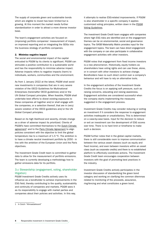The supply of corporate green and sustainable bonds which are eligible to invest has been limited but is growing. At this moment the market needs further standardization in order to attract a more diverse investor base.

The team's engagement activities are focused on (improving) portfolio companies' measurement of impact, on improved reporting and on integrating the SDGs into the business strategy of portfolio companies.

#### 2. Minimise negative impact

The social and environmental impact of the capital entrusted to PGGM by its clients is significant. PGGM can stimulate a positive contribution to a sustainable world and has the responsibility to minimise adverse impact. Adverse impacts refers to negative impacts (harm) to individuals, workers, communities and the environment.

As from 1 January 2022 at the latest, PGGM shall avoid new investments in companies that are in very severe violation of the OECD Guidelines for Multinational Enterprises (hereinafter OECD guidelines) and/or the UN Global Compact principles. When feasible, PGGM shall undertake best efforts to divest existing exposures to these companies all together and/or shall engage with the companies, or a selection thereof, that are in (very) severe violation of the OECD guidelines and/or the UN Global Compact principles.

Based on its high likelihood and severity, climate change as a driver of adverse impact its prioritized. Clients of PGGM's have committed themselves to the Dutch Climate [agreement](https://www.klimaatakkoord.nl/documenten/publicaties/2019/06/28/national-climate-agreement-the-netherlands)<sup>1</sup> and to the [Paris Climate Agreement](https://unfccc.int/sites/default/files/english_paris_agreement.pdf) to align policies consistent with the objective to limit the global temperature rise to a maximum of 1.5 °C. The ambition is to have a climate neutral investment portfolio by 2050 - in line with the ambition of the European Union and the Paris objectives.

The Investment Grade Credit team is committed to gather data to allow for the measurement of portfolio emissions. The team is currently developing a methodology how to gather emissions data for its portfolio.

## 3.c Stewardship (engagement, voting, shareholder litigation)

PGGM Investment Grade Credits actively uses its influence as a bondholder to achieve improvements in the ESG field, thereby contributing to the quality, sustainability and continuity of companies and markets. PGGM sees it as its responsibility to engage with market parties and companies about their policies and activities. In this way,

it attempts to realise ESG-related improvements. If PGGM is also shareholder in a specific company it applies customized voting principles, written down in the [PGGM](https://www.pggm.nl/media/hsdpxnvi/pggm-global-voting-guidelines.pdf) [Voting Guidelines](https://www.pggm.nl/media/hsdpxnvi/pggm-global-voting-guidelines.pdf).

The investment Grade Credit team engages with companies where high ESG risks are identified and on the engagement themes can be on environmental, social and governance topics. The SASB Materiality Matrix provides input for the engagement topics. The team can have direct engagement with the company or can also participate in collaborative engagement activities with other investors.

PGGM notes that engagement from fixed income investors is a new phenomenon. Historically, equity holders as shareholders have voting rights and can use these, alone, or in consort with other investors to achieve change. Bondholders have no such direct control over a company's behaviour and will have to rely on alternative tools.

In the engagement activities of the Investment Grade Credits the focus is on applying soft pressure, such as raising concerns, educating and raising awareness. Engagement activities are considered successful when the company starts implementing the measures suggested in the engagement process.

Investment Grade Credits may consider reducing or exiting an investment if it considers the response to engagement activities inadequate or unsatisfactory. This is determined on a case-by-case basis. Input for the decision to reduce or exit an investment can the development of ESG scores over time. There is no hard limit or timeframe to make such a decision.

PGGM further notes that in the global capital markets, there is still considerable room to improve communication between the various asset classes (such as equity and fixed income), and even between investors within an asset class (such as corporate credits) and there is no established platform to effectively coordinate actions. The Investment Grade Credit team encourages cooperation between investors with the goal of promoting best practices in the industry.

Investment Grade Credits actively participates in the investor discussion of standardizing the green bond category and working on clarifying the common dilemmas related to monitoring of the proceeds, assurance, ring-fencing and what constitutes a green bond.

<sup>1</sup> In Dutch "Klimaatakkoord"